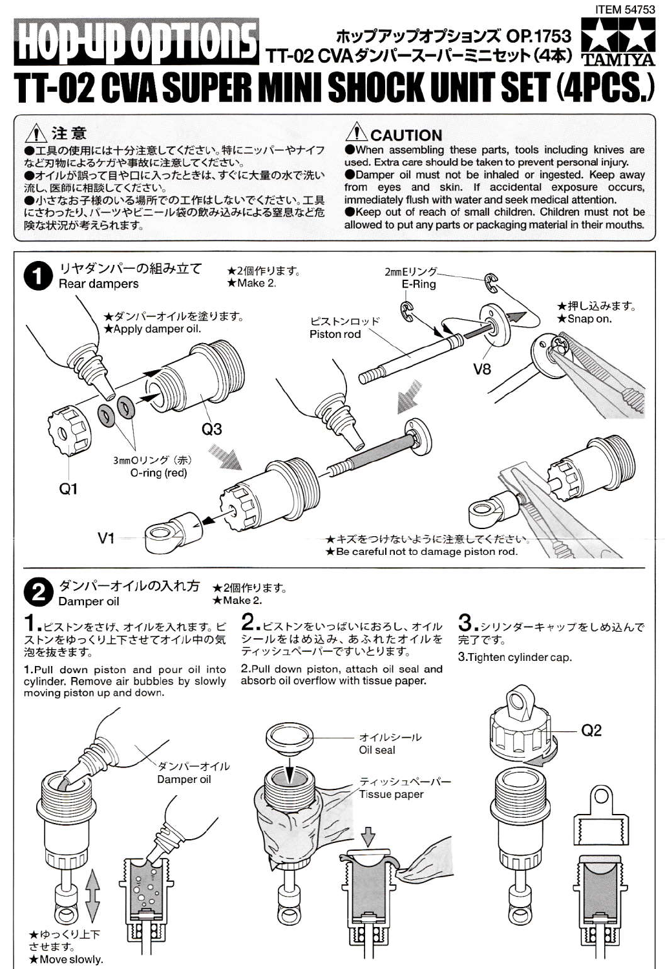## **ITEM 54753** HOPUP OPTIONS TT-02 CVA ダンバースーパーミニセット (4本) TAMIYA **TT-02 CVA SUPER MINI SHOCK UNIT SET (4PCS**

## 八注意

●工具の使用には十分注意してください。特にニッパーやナイフ など刃物によるケガや事故に注意してください。

●オイルが誤って目や口に入ったときは、すぐに大量の水で洗い

流し、医師に相談してください。<br>●小さなお子様のいる場所での工作はしないでください。工具 にさわったり、パーツやビニール袋の飲み込みによる窒息など危 険な状況が考えられます。

## $\Lambda$  CAUTION

When assembling these parts, tools including knives are used. Extra care should be taken to prevent personal injury. Damper oil must not be inhaled or ingested. Keep away from eves and skin. If accidental exposure occurs. immediately flush with water and seek medical attention. Keep out of reach of small children. Children must not be allowed to put any parts or packaging material in their mouths.

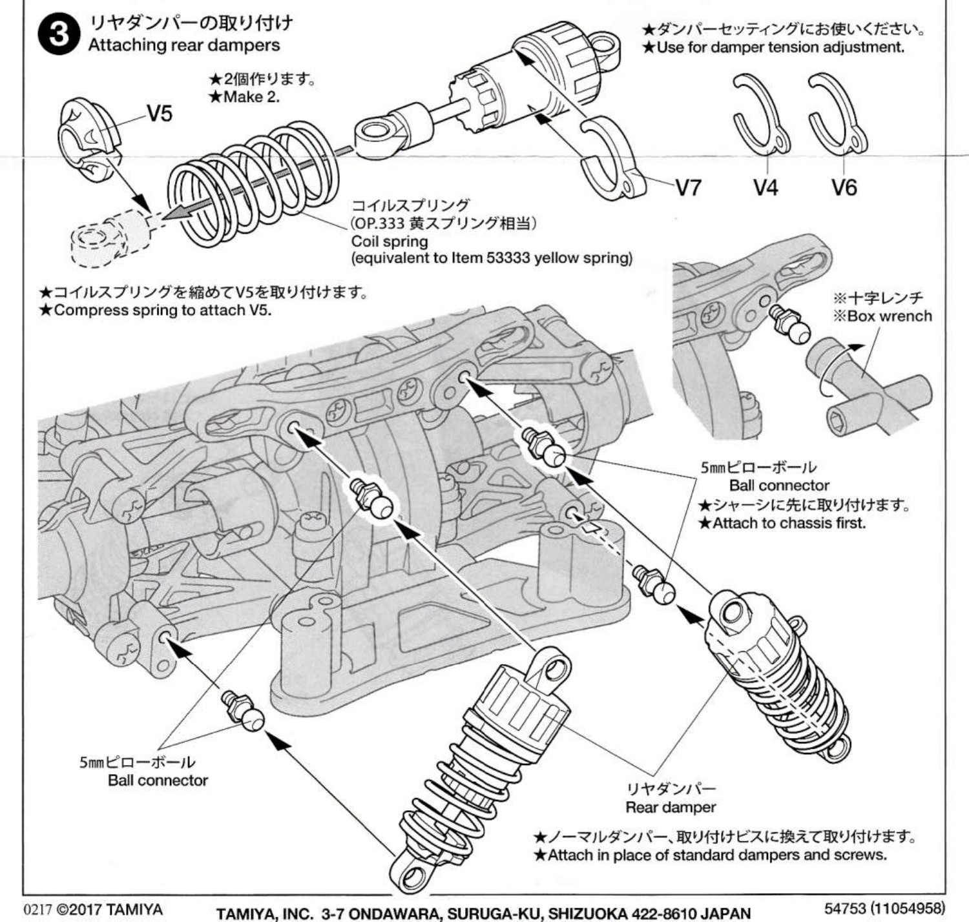

TAMIYA, INC. 3-7 ONDAWARA, SURUGA-KU, SHIZUOKA 422-8610 JAPAN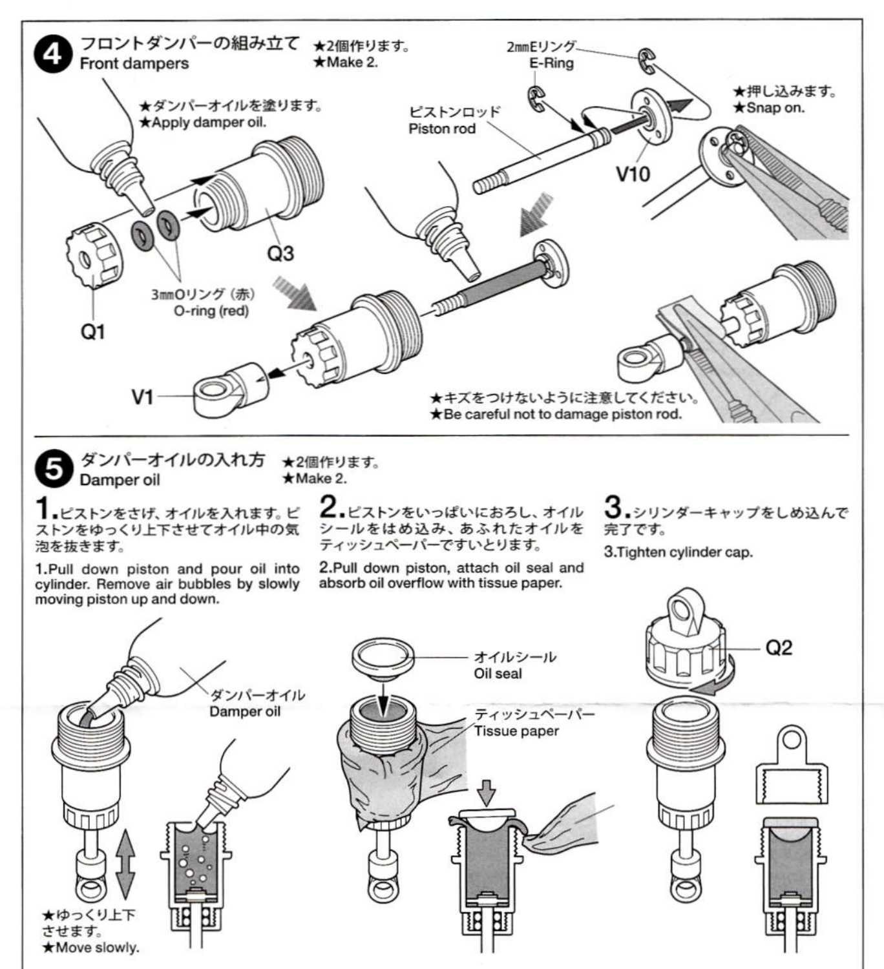